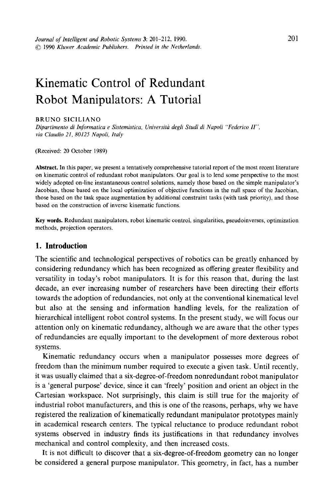# **Kinematic Control of Redundant Robot Manipulators: A Tutorial**

#### BRUNO SICILIANO

*Dipartimento di Informatica e Sistemistica, Universitd degli Studg di Napoli "Federico H", via Claudio 21, 80125 Napoli, Italy* 

(Received: 20 October 1989)

Abstract. In this paper, we present a tentatively comprehensive tutorial report of the most recent literature on kinematic control of redundant robot manipulators. Our goal is to lend some perspective to the most widely adopted on-line instantaneous control solutions, namely those based on the simple manipulator's Jacobian, those based on the local optimization of objective functions in the null space of the Jacobian, those based on the task space augmentation by additional constraint tasks (with task priority), and those based on the construction of inverse kinematic functions.

Key words. Redundant manipulators, robot kinematic control, singularities, pseudoinverses, optimization methods, projection operators.

## **1. Introduction**

The scientific and technological perspectives of robotics can be greatly enhanced by considering redundancy which has been recognized as offering greater flexibility and versatility in today's robot manipulators. It is for this reason that, during the last decade, an ever increasing number of researchers have been directing their efforts towards the adoption of redundancies, not only at the conventional kinematical level but also at the sensing and information handling levels, for the realization of hierarchical intelligent robot control systems. In the present study, we will focus our attention only on kinematic redundancy, although we are aware that the other types of redundancies are equally important to the development of more dexterous robot systems.

Kinematic redundancy occurs when a manipulator possesses more degrees of freedom than the minimum number required to execute a given task. Until recently, it was usually claimed that a six-degree-of-freedom nonredundant robot manipulator is a 'general purpose' device, since it can 'freely' position and orient an object in the Cartesian workspace. Not surprisingly, this claim is still true for the majority of industrial robot manufacturers, and this is one of the reasons, perhaps, why we have registered the realization of kinematically redundant manipulator prototypes mainly in academical research centers. The typical reluctance to produce redundant robot systems observed in industry finds its justifications in that redundancy involves mechanical and control complexity, and then increased costs.

It is not difficult to discover that a six-degree-of-freedom geometry can no longer be considered a general purpose manipulator. This geometry, in fact, has a number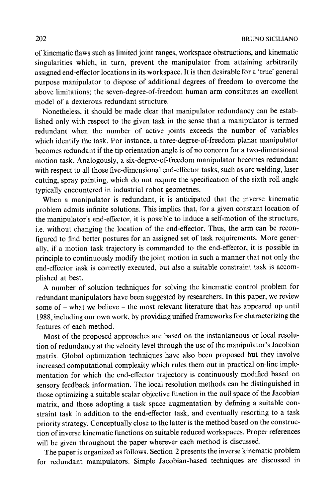of kinematic flaws such as limited joint ranges, workspace obstructions, and kinematic singularities which, in turn, prevent the manipulator from attaining arbitrarily assigned end-effector locations in its workspace. It is then desirable for a 'true' general purpose manipulator to dispose of additional degrees of freedom to overcome the above limitations; the seven-degree-of-freedom human arm constitutes an excellent model of a dexterous redundant structure.

Nonetheless, it should be made clear that manipulator redundancy can be established only with respect to the given task in the sense that a manipulator is termed redundant when the number of active joints exceeds the number of variables which identify the task. For instance, a three-degree-of-freedom planar manipulator becomes redundant if the tip orientation angle is of no concern for a two-dimensional motion task. Analogously, a six-degree-of-freedom manipulator becomes redundant with respect to all those five-dimensional end-effector tasks, such as arc welding, laser cutting, spray painting, which do not require the specification of the sixth roll angle typically encountered in industrial robot geometries.

When a manipulator is redundant, it is anticipated that the inverse kinematic problem admits infinite solutions. This implies that, for a given constant location of the manipulator's end-effector, it is possible to induce a self-motion of the structure, i.e. without changing the location of the end-effector. Thus, the arm can be reconfigured to find better postures for an assigned set of task requirements. More generally, if a motion task trajectory is commanded to the end-effector, it is possible in principle to continuously modify the joint motion in such a manner that not only the end-effector task is correctly executed, but also a suitable constraint task is accomplished at best.

A number of solution techniques for solving the kinematic control problem for redundant manipulators have been suggested by researchers. In this paper, we review some of - what we believe - the most relevant literature that has appeared up until 1988, including our own work, by providing unified frameworks for characterizing the features of each method.

Most of the proposed approaches are based on the instantaneous or local resolution of redundancy at the velocity level through the use of the manipulator's Jacobian matrix. Global optimization techniques have also been proposed but they involve increased computational complexity which rules them out in practical on-line implementation for which the end-effector trajectory is continuously modified based on sensory feedback information. The local resolution methods can be distinguished in those optimizing a suitable scalar objective function in the null space of the Jacobian matrix, and those adopting a task space augmentation by defining a suitable constraint task in addition to the end-effector task, and eventually resorting to a task priority strategy. Conceptually close to the latter is the method based on the construction of inverse kinematic functions on suitable reduced workspaces. Proper references will be given throughout the paper wherever each method is discussed.

The paper is organized as follows. Section 2 presents the inverse kinematic problem for redundant manipulators. Simple Jacobian-based techniques are discussed in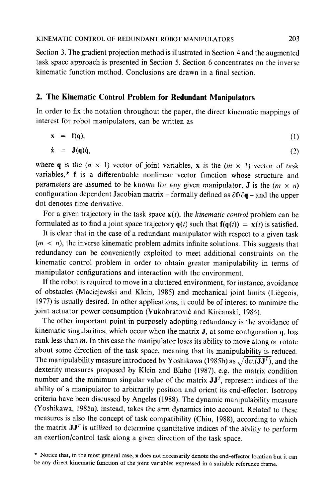Section 3. The gradient projection method is illustrated in Section 4 and the augmented task space approach is presented in Section 5. Section 6 concentrates on the inverse kinematic function method. Conclusions are drawn in a final section.

## **2. The Kinematic Control Problem for Redundant Manipulators**

In order to fix the notation throughout the paper, the direct kinematic mappings of interest for robot manipulators, can be written as

$$
\mathbf{x} = \mathbf{f}(\mathbf{q}),\tag{1}
$$

$$
\dot{\mathbf{x}} = \mathbf{J}(\mathbf{q})\dot{\mathbf{q}},\tag{2}
$$

where q is the  $(n \times 1)$  vector of joint variables, x is the  $(m \times 1)$  vector of task variables,\* f is a differentiable nonlinear vector function whose structure and parameters are assumed to be known for any given manipulator, **J** is the  $(m \times n)$ configuration dependent Jacobian matrix - formally defined as  $\partial f/\partial q$  - and the upper dot denotes time derivative.

For a given trajectory in the task space  $x(t)$ , the *kinematic control* problem can be formulated as to find a joint space trajectory  $q(t)$  such that  $f(q(t)) = x(t)$  is satisfied.

It is clear that in the case of a redundant manipulator with respect to a given task  $(m < n)$ , the inverse kinematic problem admits infinite solutions. This suggests that redundancy can be conveniently exploited to meet additional constraints on the kinematic control problem in order to obtain greater manipulability in terms of manipulator configurations and interaction with the environment.

If the robot is required to move in a cluttered environment, for instance, avoidance of obstacles (Maciejewski and Klein, 1985) and mechanical joint limits (Liégeois, 1977) is usually desired. In other applications, it could be of interest to minimize the joint actuator power consumption (Vukobratović and Kirćanski, 1984).

The other important point in purposely adopting redundancy is the avoidance of kinematic singularities, which occur when the matrix **, at some configuration**  $**q**$ **, has** rank less than  $m$ . In this case the manipulator loses its ability to move along or rotate about some direction of the task space, meaning that its manipulability is reduced. The manipulability measure introduced by Yoshikawa (1985b) as  $\sqrt{\det(\mathbf{J}\mathbf{J}^T)}$ , and the dexterity measures proposed by Klein and Blaho (1987), e.g. the matrix condition number and the minimum singular value of the matrix  $JJ<sup>T</sup>$ , represent indices of the ability of a manipulator to arbitrarily position and orient its end-effector. Isotropy criteria have been discussed by Angeles (1988). The dynamic manipulability measure (Yoshikawa, 1985a), instead, takes the arm dynamics into account. Related to these measures is also the concept of task compatibility (Chiu, 1988), according to which the matrix  $JJ<sup>T</sup>$  is utilized to determine quantitative indices of the ability to perform an exertion/control task along a given direction of the task space.

\* Notice that, in the most general case, x does not necessarily denote the end-effector location but it can be any direct kinematic function of the joint variables expressed in a suitable reference frame.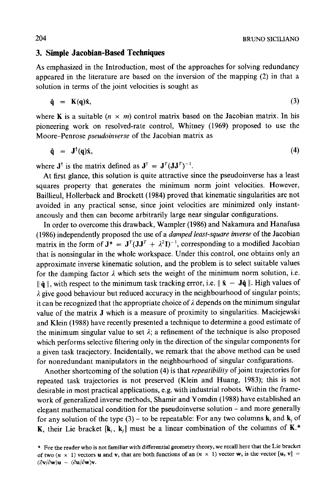### **3. Simple Jacobian-Based Techniques**

As emphasized in the Introduction, most of the approaches for solving redundancy appeared in the literature are based on the inversion of the mapping (2) in that a solution in terms of the joint velocities is sought as

$$
\dot{\mathbf{q}} = \mathbf{K}(\mathbf{q})\dot{\mathbf{x}},\tag{3}
$$

where K is a suitable  $(n \times m)$  control matrix based on the Jacobian matrix. In his pioneering work on resolved-rate control, Whitney (1969) proposed to use the Moore-Penrose *pseudoinverse* of the Jacobian matrix as

$$
\dot{\mathbf{q}} = \mathbf{J}^{\dagger}(\mathbf{q})\dot{\mathbf{x}},\tag{4}
$$

where  $J^{\dagger}$  is the matrix defined as  $J^{\dagger} = J^{T}(JJ^{T})^{-1}$ .

At first glance, this solution is quite attractive since the pseudoinverse has a least squares property that generates the minimum norm joint velocities. However, Baillieul, Hollerback and Brockett (1984) proved that kinematic singularities are not avoided in any practical sense, since joint velocities are minimized only instantaneously and then can become arbitrarily large near singular configurations.

In order to overcome this drawback, Wampler (1986) and Nakamura and Hanafusa (1986) independently proposed the use of a *damped least-square inverse* of the Jacobian matrix in the form of  $\mathbf{J}^* = \mathbf{J}^T(\mathbf{J}\mathbf{J}^T + \lambda^2\mathbf{I})^{-1}$ , corresponding to a modified Jacobian that is nonsingular in the whole workspace. Under this control, one obtains only an approximate inverse kinematic solution, and the problem is to select suitable values for the damping factor  $\lambda$  which sets the weight of the minimum norm solution, i.e.  $\|\dot{\mathbf{a}}\|$ , with respect to the minimum task tracking error, i.e.  $\|\dot{\mathbf{x}} - \mathbf{J}\dot{\mathbf{q}}\|$ . High values of  $\lambda$  give good behaviour but reduced accuracy in the neighbourhood of singular points; it can be recognized that the appropriate choice of  $\lambda$  depends on the minimum singular value of the matrix J which is a measure of proximity to singularities. Maciejewski and Klein (1988) have recently presented a technique to determine a good estimate of the minimum singular value to set  $\lambda$ ; a refinement of the technique is also proposed which performs selective filtering only in the direction of the singular components for a given task tracjectory. Incidentally, we remark that the above method can be used for nonredundant manipulators in the neighbourhood of singular configurations.

Another shortcoming of the solution (4) is that *repeatibility* of joint trajectories for repeated task trajectories is not preserved (Klein and Huang, 1983); this is not desirable in most practical applications, e.g. with industrial robots. Within the framework of generalized inverse methods, Shamir and Yomdin (1988) have established an elegant mathematical condition for the pseudoinverse solution - and more generally for any solution of the type (3) - to be repeatable: For any two columns  $\mathbf{k}_i$  and  $\mathbf{k}_j$  of K, their Lie bracket  $[k_i, k_j]$  must be a linear combination of the columns of K.\*

<sup>\*</sup> For the reader who is not familiar with differential geometry theory, we recall here that the Lie bracket of two  $(n \times 1)$  vectors **u** and **v**, that are both functions of an  $(n \times 1)$  vector **w**, is the vector [**u**, **v**] =  $(\partial \mathbf{v}/\partial \mathbf{w})\mathbf{u} - (\partial \mathbf{u}/\partial \mathbf{w})\mathbf{v}.$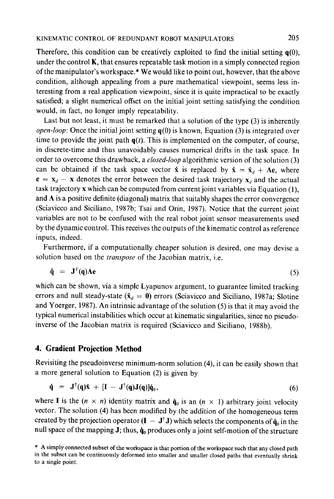Therefore, this condition can be creatively exploited to find the initial setting  $q(0)$ , under the control K, that ensures repeatable task motion in a simply connected region of the manipulator's workspace.\* We would like to point out, however, that the above condition, although appealing from a pure mathematical viewpoint, seems less interesting from a real application viewpoint, since it is quite impractical to be exactly satisfied; a slight numerical offset on the initial joint setting satisfying the condition would, in fact, no longer imply repeatability.

Last but not least, it must be remarked that a solution of the type (3) is inherently *open-loop:* Once the initial joint setting  $q(0)$  is known, Equation (3) is integrated over time to provide the joint path  $q(t)$ . This is implemented on the computer, of course, in discrete-time and thus unavoidably causes numerical drifts in the task space. In order to overcome this drawback, a *closed-loop* algorithmic version of the solution (3) can be obtained if the task space vector  $\dot{x}$  is replaced by  $\dot{x} = \dot{x}_d + \Lambda e$ , where  $e = x_d - x$  denotes the error between the desired task trajectory  $x_d$  and the actual task trajectory x which can be computed from current joint variables via Equation (1), and  $\Lambda$  is a positive definite (diagonal) matrix that suitably shapes the error convergence (Sciavicco and Siciliano, 1987b; Tsai and Orin, 1987). Notice that the current joint variables are not to be confused with the real robot joint sensor measurements used by the dynamic control. This receives the outputs of the kinematic control as reference inputs, indeed.

Furthermore, if a computationally cheaper solution is desired, one may devise a solution based on the *transpose* of the Jacobian matrix, i.e.

$$
\dot{\mathbf{q}} = \mathbf{J}^T(\mathbf{q})\Lambda \mathbf{e}
$$
 (5)

which can be shown, via a simple Lyapunov argument, to guarantee limited tracking errors and null steady-state ( $\dot{\mathbf{x}}_d = 0$ ) errors (Sciavicco and Siciliano, 1987a; Slotine and Yoerger, 1987). An intrinsic advantage of the solution (5) is that it may avoid the typical numerical instabilities which occur at kinematic singularities, since no pseudoinverse of the Jacobian matrix is required (Sciavicco and Siciliano, 1988b).

## **4. Gradient Projection Method**

Revisiting the pseudoinverse minimum-norm solution (4), it can be easily shown that a more general solution to Equation (2) is given by

$$
\dot{\mathbf{q}} = \mathbf{J}^{\dagger}(\mathbf{q})\dot{\mathbf{x}} + [\mathbf{I} - \mathbf{J}^{\dagger}(\mathbf{q})\mathbf{J}(\mathbf{q})]\dot{\mathbf{q}}_0, \qquad (6)
$$

where I is the  $(n \times n)$  identity matrix and  $\dot{q}_0$  is an  $(n \times 1)$  arbitrary joint velocity vector. The solution (4) has been modified by the addition of the homogeneous term created by the projection operator  $(I - J^{\dagger} J)$  which selects the components of  $\dot{q}_0$  in the null space of the mapping J; thus,  $\dot{q}_0$  produces only a joint self-motion of the structure

<sup>\*</sup> A simply connected subset of the workspace is that portion of the workspace such that any closed path in **the subset** can be continuously deformed into smaller and smaller closed paths that eventually shrink to a single point.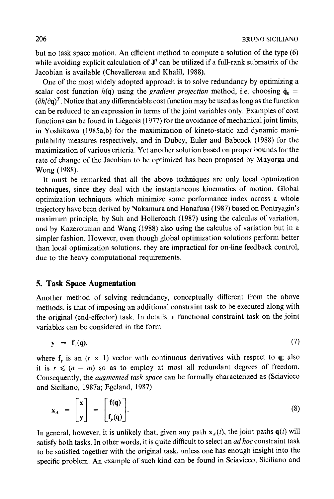but no task space motion. An efficient method to compute a solution of the type (6) while avoiding explicit calculation of  $J^{\dagger}$  can be utilized if a full-rank submatrix of the Jacobian is available (Chevallereau and Khalil, 1988).

One of the most widely adopted approach is to solve redundancy by optimizing a scalar cost function  $h(\mathbf{q})$  using the *gradient projection* method, i.e. choosing  $\dot{\mathbf{q}}_0$  =  $(\partial h/\partial \mathbf{q})^T$ . Notice that any differentiable cost function may be used as long as the function can be reduced to an expression in terms of the joint variables only. Examples of cost functions can be found in Liégeois (1977) for the avoidance of mechanical joint limits, in Yoshikawa (1985a,b) for the maximization of kineto-static and dynamic manipulability measures respectively, and in Dubey, Euler and Babcock (1988) for the maximization of various criteria. Yet another solution based on proper bounds for the rate of change of the Jacobian to be optimized has been proposed by Mayorga and Wong (1988).

It must be remarked that all the above techniques are only local optmization techniques, since they deal with the instantaneous kinematics of motion. Global optimization techniques which minimize some performance index across a whole trajectory have been derived by Nakamura and Hanafusa (1987) based on Pontryagin's maximum principle, by Suh and Hollerbach (1987) using the calculus of variation, and by Kazerounian and Wang (1988) also using the calculus of variation but in a simpler fashion. However, even though global optimization solutions perform better than local optimization solutions, they are impractical for on-line feedback control, due to the heavy computational requirements.

### **5. Task Space Augmentation**

Another method of solving redundancy, conceptually different from the above methods, is that of imposing an additional constraint task to be executed along with the original (end-effector) task. In details, a functional constraint task on the joint variables can be considered in the form

$$
y = f_{\nu}(q), \tag{7}
$$

where  $f<sub>y</sub>$  is an  $(r \times 1)$  vector with continuous derivatives with respect to q; also it is  $r \leq (n - m)$  so as to employ at most all redundant degrees of freedom. Consequently, the *augmented task space* can be formally characterized as (Sciavicco and Siciliano, 1987a; Egeland, 1987)

$$
\mathbf{x}_A = \begin{bmatrix} \mathbf{x} \\ \mathbf{y} \end{bmatrix} = \begin{bmatrix} \mathbf{f}(\mathbf{q}) \\ \mathbf{f}_y(\mathbf{q}) \end{bmatrix} . \tag{8}
$$

In general, however, it is unlikely that, given any path  $x_A(t)$ , the joint paths  $q(t)$  will satisfy both tasks. In other words, it is quite difficult to select an *ad hoc* constraint task to be satisfied together with the original task, unless one has enough insight into the specific problem. An example of such kind can be found in Sciavicco, Siciliano and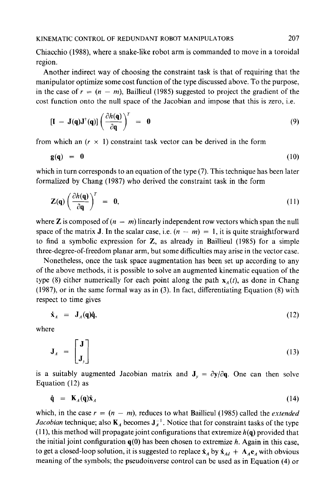Chiacchio (1988), where a snake-like robot arm is commanded to move in a toroidal region.

Another indirect way of choosing the constraint task is that of requiring that the manipulator optimize some cost function of the type discussed above. To the purpose, in the case of  $r = (n - m)$ , Baillieul (1985) suggested to project the gradient of the cost function onto the null space of the Jacobian and impose that this is zero, i.e.

$$
\left[\mathbf{I} - \mathbf{J}(\mathbf{q})\mathbf{J}^\dagger(\mathbf{q})\right] \left(\frac{\partial h(\mathbf{q})}{\partial \mathbf{q}}\right)^T = \mathbf{0} \tag{9}
$$

from which an  $(r \times 1)$  constraint task vector can be derived in the form

$$
\mathbf{g}(\mathbf{q}) = \mathbf{0} \tag{10}
$$

which in turn corresponds to an equation of the type (7). This technique has been later formalized by Chang (1987) who derived the constraint task in the form

$$
\mathbf{Z}(\mathbf{q})\left(\frac{\partial h(\mathbf{q})}{\partial \mathbf{q}}\right)^T = \mathbf{0},\tag{11}
$$

where **Z** is composed of  $(n - m)$  linearly independent row vectors which span the null space of the matrix **J**. In the scalar case, i.e.  $(n - m) = 1$ , it is quite straightforward to find a symbolic expression for Z, as already in Baillieul (1985) for a simple three-degree-of-freedom planar arm, but some difficulties may arise in the vector case.

Nonetheless, once the task space augmentation has been set up according to any of the above methods, it is possible to solve an augmented kinematic equation of the type (8) either numerically for each point along the path  $x<sub>A</sub>(t)$ , as done in Chang (1987), or in the same formal way as in (3). In fact, differentiating Equation (8) with respect to time gives

$$
\dot{\mathbf{x}}_A = \mathbf{J}_A(\mathbf{q})\dot{\mathbf{q}},\tag{12}
$$

where

$$
\mathbf{J}_A = \begin{bmatrix} \mathbf{J} \\ \mathbf{J}_y \end{bmatrix} \tag{13}
$$

is a suitably augmented Jacobian matrix and  $J_y = \partial y / \partial q$ . One can then solve Equation (12) as

$$
\dot{\mathbf{q}} = \mathbf{K}_A(\mathbf{q}) \dot{\mathbf{x}}_A \tag{14}
$$

which, in the case  $r = (n - m)$ , reduces to what Baillieul (1985) called the *extended Jacobian* technique; also  $K_A$  becomes  $J_A^{-1}$ . Notice that for constraint tasks of the type  $(11)$ , this method will propagate joint configurations that extremize  $h(q)$  provided that the initial joint configuration  $q(0)$  has been chosen to extremize h. Again in this case, to get a closed-loop solution, it is suggested to replace  $\dot{x}_A$  by  $\dot{x}_{Ad} + \Lambda_A e_A$  with obvious meaning of the symbols; the pseudoinverse control can be used as in Equation (4) or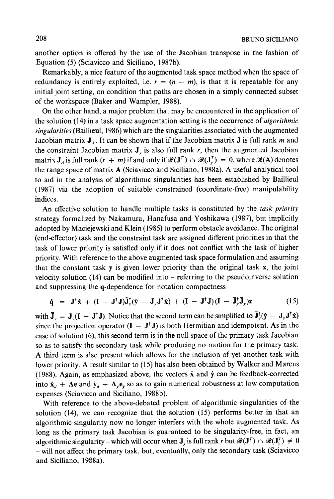another option is offered by the use of the Jacobian transpose in the fashion of Equation (5) (Sciavicco and Siciliano, 1987b).

Remarkably, a nice feature of the augmented task space method when the space of redundancy is entirely exploited, i.e.  $r = (n - m)$ , is that it is repeatable for any initial joint setting, on condition that paths are chosen in a simply connected subset of the workspace (Baker and Wampler, 1988).

On the other hand, a major problem that may be encountered in the application of the solution (14) in a task space augmentation setting is the occurrence of *algorithmic singularities* (Baillieul, 1986) which are the singularities associated with the augmented Jacobian matrix  $J_A$ . It can be shown that if the Jacobian matrix J is full rank m and the constraint Jacobian matrix  $J_{y}$  is also full rank r, then the augmented Jacobian matrix  $J_A$  is full rank  $(r + m)$  if and only if  $\mathcal{R}(J^T) \cap \mathcal{R}(J^T) = 0$ , where  $\mathcal{R}(A)$  denotes the range space of matrix A (Sciavicco and Siciliano, 1988a). A useful analytical tool to aid in the analysis of algorithmic singularities has been established by Baillieul (1987) via the adoption of suitable constrained (coordinate-free) manipulability indices.

An effective solution to handle multiple tasks is constituted by the *task priority*  strategy formalized by Nakamura, Hanafusa and Yoshikawa (1987), but implicitly adopted by Maciejewski and Klein (1985) to perform obstacle avoidance. The original (end-effector) task and the constraint task are assigned different priorities in that the task of lower priority is satisfied only if it does not conflict with the task of higher priority. With reference to the above augmented task space formulation and assuming that the constant task  $y$  is given lower priority than the original task  $x$ , the joint velocity solution (14) can be modified into - referring to the pseudoinverse solution and suppressing the q-dependence for notation compactness -

$$
\dot{\mathbf{q}} = \mathbf{J}^{\dagger}\dot{\mathbf{x}} + (\mathbf{I} - \mathbf{J}^{\dagger}\mathbf{J})\mathbf{\tilde{J}}_{\nu}^{\dagger}(\dot{\mathbf{y}} - \mathbf{J}_{\nu}\mathbf{J}^{\dagger}\dot{\mathbf{x}}) + (\mathbf{I} - \mathbf{J}^{\dagger}\mathbf{J})(\mathbf{I} - \mathbf{\tilde{J}}_{\nu}^{\dagger}\mathbf{\tilde{J}}_{\nu})\mathbf{z}
$$
(15)

with  $\tilde{\mathbf{J}}_{y} = \mathbf{J}_{y}(\mathbf{I} - \mathbf{J}^{\dagger}\mathbf{J})$ . Notice that the second term can be simplified to  $\tilde{\mathbf{J}}_{y}^{\dagger}(\dot{\mathbf{y}} - \mathbf{J}_{y}\mathbf{J}^{\dagger}\dot{\mathbf{x}})$ since the projection operator  $(I - J^{\dagger}J)$  is both Hermitian and idempotent. As in the case of solution (6), this second term is in the null space of the primary task Jacobian so as to satisfy the secondary task while producing no motion for the primary task. A third term is also present which allows for the inclusion of yet another task with lower priority. A result similar to (15) has also been obtained by Walker and Marcus (1988). Again, as emphasized above, the vectors  $\dot{x}$  and  $\dot{y}$  can be feedback-corrected into  $\dot{\mathbf{x}}_d + \mathbf{\Lambda} \mathbf{e}$  and  $\dot{\mathbf{y}}_d + \mathbf{\Lambda}_r \mathbf{e}_r$  so as to gain numerical robustness at low computation expenses (Sciavicco and Siciliano, 1988b).

With reference to the above-debated problem of algorithmic singularities of the solution (14), we can recognize that the solution (15) performs better in that an algorithmic singularity now no longer interfers with the whole augmented task. As long as the primary task Jacobian is guaranteed to be singularity-free, in fact, an algorithmic singularity – which will occur when  $J_{y}$  is full rank r but  $\mathscr{R}(J^{T}) \cap \mathscr{R}(J^{T}_{y}) \neq 0$ **-** will not affect the primary task, but, eventually, only the secondary task (Sciavicco and Siciliano, 1988a).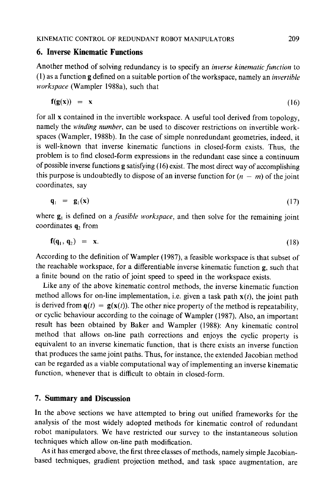### **6. Inverse Kinematic Functions**

Another method of solving redundancy is to specify an *inverse kinematic function* to (1) as a function g defined on a suitable portion of the workspace, namely an *invertible workspace* (Wampler 1988a), such that

$$
\mathbf{f}(\mathbf{g}(\mathbf{x})) = \mathbf{x} \tag{16}
$$

for all x contained in the invertible workspace. A useful tool derived from topology, namely the *winding number,* can be used to discover restrictions on invertible workspaces (Wampler, 1988b). In the case of simple nonredundant geometries, indeed, it is well-known that inverse kinematic functions in closed-form exists. Thus, the problem is to find closed-form expressions in the redundant case since a continuum of possible inverse functions g satisfying (16) exist. The most direct way of accomplishing this purpose is undoubtedly to dispose of an inverse function for  $(n - m)$  of the joint coordinates, say

$$
\mathbf{q}_1 = \mathbf{g}_1(\mathbf{x}) \tag{17}
$$

where  $g_1$  is defined on a *feasible workspace*, and then solve for the remaining joint coordinates  $q_2$  from

$$
\mathbf{f}(\mathbf{q}_1, \mathbf{q}_2) = \mathbf{x}.\tag{18}
$$

According to the definition of Wampler (1987), a feasible workspace is that subset of the reachable workspace, for a differentiable inverse kinematic function g, such that a finite bound on the ratio of joint speed to speed in the workspace exists.

Like any of the above kinematic control methods, the inverse kinematic function method allows for on-line implementation, i.e. given a task path  $x(t)$ , the joint path is derived from  $q(t) = g(x(t))$ . The other nice property of the method is repeatability, or cyclic behaviour according to the coinage of Wampler (1987). Also, an important result has been obtained by Baker and Wampler (1988): Any kinematic control method that allows on-line path corrections and enjoys the cyclic property is equivalent to an inverse kinematic function, that is there exists an inverse function that produces the same joint paths. Thus, for instance, the extended Jacobian method can be regarded as a viable computational way of implementing an inverse kinematic function, whenever that is difficult to obtain in closed-form.

## **7. Summary and Discussion**

In the above sections we have attempted to bring out unified frameworks for the analysis of the most widely adopted methods for kinematic control of redundant robot manipulators. We have restricted our survey to the instantaneous solution techniques which allow on-line path modification.

As it has emerged above, the first three classes of methods, namely simple Jacobianbased techniques, gradient projection method, and task space augmentation, are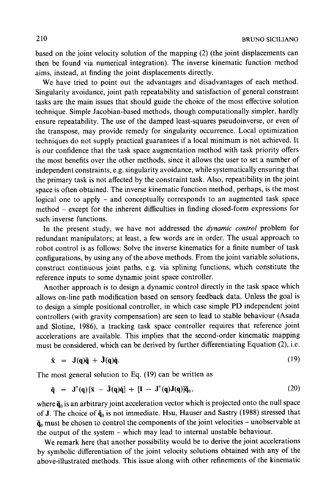based on the joint velocity solution of the mapping (2) (the joint displacements can then be found via numerical integration). The inverse kinematic function method aims, instead, at finding the joint displacements directly.

We have tried to point out the advantages and disadvantages of each method. Singularity avoidance, joint path repeatability and satisfaction of general constraint tasks are the main issues that should guide the choice of the most effective solution technique. Simple Jacobian-based methods, though computationally simpler, hardly ensure repeatability. The use of the damped least-squares pseudoinverse, or even of the transpose, may provide remedy for singularity occurrence. Local optimization techniques do not supply practical guarantees if a local minimum is not achieved. It is our confidence that the task space augmentation method with task priority offers the most benefits over the other methods, since it allows the user to set a number of independent constraints, e.g. singularity avoidance, while systematically ensuring that the primary task is not affected by the constraint task. Also, repeatibility in the joint space is often obtained. The inverse kinematic function method, perhaps, is the most logical one to apply - and conceptually corresponds to an augmented task space method - except for the inherent difficulties in finding closed-form expressions for such inverse functions.

In the present study, we have not addressed the *dynamic control* problem for redundant manipulators; at least, a few words are in order. The usual approach to robot control is as follows: Solve the inverse kinematics for a finite number of task configurations, by using any of the above methods. From the joint variable solutions, construct continuous joint paths, e.g. via splining functions, which constitute the reference inputs to some dynamic joint space controller.

Another approach is to design a dynamic control directly in the task space which allows on-line path modification based on sensory feedback data. Unless the goal is to design a simple positional controller, in which case simple PD independent joint controllers (with gravity compensation) are seen to lead to stable behaviour (Asada and Slotine, 1986), a tracking task space controller requires that reference joint accelerations are available. This implies that the second-order kinematic mapping must be considered, which can be derived by further differentiating Equation (2), i.e.

$$
\ddot{\mathbf{x}} = \mathbf{J}(\mathbf{q})\ddot{\mathbf{q}} + \dot{\mathbf{J}}(\mathbf{q})\dot{\mathbf{q}}.\tag{19}
$$

The most general solution to Eq. (19) can be written as

$$
\ddot{\mathbf{q}} = \mathbf{J}^{\dagger}(\mathbf{q})\left[\ddot{\mathbf{x}} - \dot{\mathbf{J}}(\mathbf{q})\dot{\mathbf{q}}\right] + [\mathbf{I} - \mathbf{J}^{\dagger}(\mathbf{q})\mathbf{J}(\mathbf{q})]\ddot{\mathbf{q}}_0, \qquad (20)
$$

where  $\ddot{\mathbf{q}}_0$  is an arbitrary joint acceleration vector which is projected onto the null space of J. The choice of  $\ddot{\mathbf{q}}_0$  is not immediate. Hsu, Hauser and Sastry (1988) stressed that  $\ddot{\mathbf{q}}_0$  must be chosen to control the components of the joint velocities - unobservable at the output of the system - which may lead to internal unstable behaviour.

We remark here that another possibility would be to derive the joint accelerations by symbolic differentiation of the joint velocity solutions obtained with any of the above-illustrated methods. This issue along with other refinements of the kinematic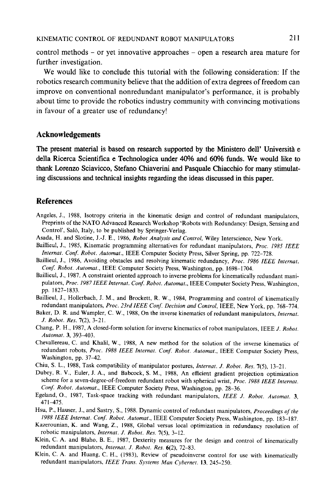**control methods - or yet innovative approaches - open a research area mature for further investigation.** 

**We would like to conclude this tutorial with the following consideration: If the robotics research community believe that the addition of extra degrees of freedom can improve on conventional nonredundant manipulator's performance, it is probably about time to provide the robotics industry community with convincing motivations in favour of a greater use of redundancy!** 

### **Acknowledgements**

The present material is based on research supported by the Ministero dell' Università e della Ricerca Scientifica e Technologica under 40% and 60% funds. We would like to **thank Lorenzo Sciavicco, Stefano Chiaverini and Pasquale Chiacchio for many stimulating discussions and technical insights regarding the ideas discussed in this paper.** 

#### **References**

- Angeles, J., 1988, Isotropy criteria in the kinematic design and control of redundant manipulators, Preprints of the NATO Advanced Research Workshop 'Robots with Redundancy: Design, Sensing and Control', Sal6, Italy, to be published by Springer-Verlag.
- Asada, H. and Slotine, J.-J. E., 1986, *Robot Analysis and Control,* Wiley Interscience, New York.
- Baillieul, J., 1985, Kinematic programming alternatives for redundant manipulators, *Proc. 1985 IEEE Internat. Conf. Robot. Automat.,* IEEE Computer Society Press, Silver Spring, pp. 722-728.
- Baillieul, J., 1986, Avoiding obstacles and resolving kinematic redundancy, *Proc. 1986 1EEE lnternat. Conf. Robot. Automat.,* IEEE Computer Society Press, Washington, pp. 1698-1704.
- Baillieul, J., 1987. A constraint oriented approach to inverse problems for kinematically redundant manipulators, *Proc. 1987 IEEE Internat. Conf. Robot. Automat.,* IEEE Computer Society Press, Washington, pp. 1827-1833.
- Baillieul, J., Hollerbach, J. M., and Brockett, R. W., 1984, Programming and control of kinematically redundant manipulators, Proc. 23rd IEEE Conf. Decision and Control, IEEE, New York, pp. 768-774.
- Baker, D. R. and Wampler, C. W., 1988, On the inverse kinematics of redundant manipulators, *lnternat. J. Robot. Res.* 7(2), 3-21.
- Chang, P. H., 1987, A closed-form solution for inverse kinematics of robot manipulators, IEEE *J. Robot. Automat.* 3, 393-403.
- Chevallereau, C. and Khalil, W., 1988, A new method for the solution of the inverse kinematics of redundant robots, *Proc. 1988 IEEE Internat. Conf. Robot. Automat.,* IEEE Computer Society Press, Washington, pp. 37-42.
- Chiu, S. L., 1988, Task compatibility of manipulator postures, *Internat. J. Robot. Res.* 7(5), 13-21.
- Dubey, R. V., Euler, J. A., and Babcock, S. M., 1988, An efficient gradient projection optimization scheme for a seven-degree-of-freedom redundant robot with spherical wrist, *Proc. 1988 IEEE Internat. Conf. Robot. Automat.,* IEEE Computer Society Press, Washington, pp. 28-36.
- Egeland, O., 1987, Task-space tracking with redundant manipulators, *IEEE J. Robot. Automat. 3,*  471-475.
- Hsu, P., Hauser, J., and Sastry, S., 1988. Dynamic control of redundant manipulators, *Proceedings of the 1988 IEEE Internat. Conf. Robot. Automat.,* IEEE Computer Society Press, Washington, pp. 183-187.
- Kazerounian, K. and Wang, Z., 1988, Global versus local optimization in redundancy resolution of robotic manipulators, *Internat. J. Robot. Res.* 7(5), 3-12.
- Klein, C. A. and Blaho, B. E., 1987, Dexterity measures for the design and control of kinematically redundant manipulators, *Internat. J. Robot. Res.* 6(2), 72-83.
- Klein, C. A. and Huang, C. H., (1983), Review of pseudoinverse control for use with kinematically redundant manipulators, *IEEE Trans. Systems Man Cybernet.* 13, 245-250.